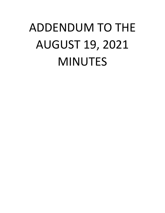## ADDENDUM TO THE AUGUST 19, 2021 MINUTES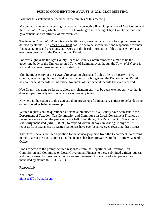## **PUBLIC COMMENT FOR AUGUST 19, 2021 CLGF MEETING**

I ask that this statement be included in the minutes of this meeting.

My public comment is regarding the apparently deceptive financial practices of Nye County and the *Town of Belmont*, which, with the full knowledge and backing of Nye County defrauds the government, and its citizens, of tax revenues.

The invented *Town of Belmont* is not a legitimate governmental entity or local government as defined by statute. The *Town of Belmont* has no one to be accountable and responsible for their financial actions and decisions. No records of the fiscal information of this bogus entity have ever been provided to the Department of Taxation.

For over eight years the Nye County Board of County Commissioners claimed to be the governing body of the Unincorporated Town of Belmont, even though the *Town of Belmont* is not, and has never been an unincorporated town.

This fictitious entity of the *Town of Belmont* purchased and holds title to property in Nye County, even though it has no budget, has never had a budget and the Department of Taxation has no financial records of this entity. No audits of its financial records has ever occurred.

Nye County has gone so far as to allow this phantom entity to be a tax-exempt entity so that it does not pay property transfer taxes or any property taxes.

Nowhere in the statutes of this state are there provisions for imaginary entities to be landowners or considered as being tax-exempt.

Written requests on the questionable financial practices of Nye County have been sent to the Department of Taxation, Tax Commission and Committee on Local Government Finance on several occasions over the past year and a half. Even though the Department of Taxation is statutorily mandated (NRS 360.293) to respond within 30 days, in writing, to any written requests from taxpayers, no written responses have ever been received regarding these issues.

Therefore, I have submitted a petition for an advisory opinion from the Department. According to the Chair of the Tax Commission, this request has been forwarded to the Attorney General's Office.

I look forward to the prompt written responses from the Department of Taxation, Tax Commission and Committee on Local Government Finance to these submitted written requests and the courtesy, fairness, and common-sense treatment of concerns of a taxpayer as are mandated by statute (NRS 360.291).

Respectfully,

Neal Jones [njones14791@gmail.com](about:blank)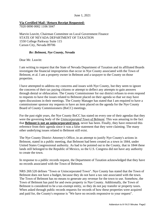## **Via Certified Mail / Return Receipt Requested:**

7020 0090 0002 1106 5047

Marvin Leavitt, Chairman Committee on Local Government Finance STATE OF NEVADA DEPARTMENT OF TAXATION 1550 College Parkway Suite 115 Carson City, Nevada 89706

## *Re: Belmont, Nye County, Nevada*

Dear Mr. Leavitt<sup>.</sup>

I am writing to request that the State of Nevada Department of Taxation and its affiliated Boards investigate the financial improprieties that occur in Nye County associated with the Town of Belmont, et al. I am a property owner in Belmont and a taxpayer to the County on those properties.

I have attempted to address my concerns and issues with Nye County, but they seem to ignore the concerns of their tax paying citizens or attempt to deflect any attempts to gain answers through denial or obfuscation. The County Commissioner for our district refuses to even respond to requests to have the issues related to Belmont placed on their agenda so that we may have open discussions in their meetings. The County Manager has stated that I am required to have a commissioner sponsor my requests to have an item placed on the agenda for the Nye County Board of County Commissioners (BoCC) meetings.

For the past eight years, the Nye County BoCC has stated on every one of their agendas that they were the governing body of the *Unincorporated Town of Belmont*. This was amazing in the fact that **Belmont is not an unincorporated town**, never has been. Finally, they have removed this reference from their agenda since it was a false statement that they were claiming. The many other underlying issues related to Belmont still exist.

The Nye County District Attorney's Office, in an attempt to justify Nye County's actions in Belmont, stated in a public meeting, that Belmont had been created as a town in 1844, under United States Congressional authority. As had to be pointed out to the County, that in 1844 these lands still belonged to the Republic of Mexico, so the U.S. Congress did not have any authority to create the town.

In response to a public records request, the Department of Taxation acknowledged that they have no records associated with the Town of Belmont.

NRS 269.520 defines "Town or Unincorporated Town". Nye County has stated that the Town of Belmont does not have a budget, because they do not have a tax rate associated with the town. The Town of Belmont has no means to generate any revenue for the town to use. Somehow, the Town of Belmont has paid for and owns property in Nye County. Additionally, the Town of Belmont is considered to be a tax-exempt entity, so they do not pay transfer or property taxes. When asked through public records requests for records of how these properties were acquired and paid for, the County's response is "We have no records responsive to your request".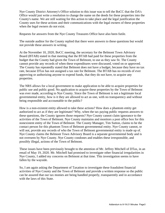Nye County District Attorney's Office solution to this issue was to tell the BoCC that the DA's Office would just write a resolution to change the name on the deeds for these properties into the County's name. We are still waiting for this action to take place and the legal justification the County uses for these actions and their communications with the legal owners of these properties when the legal owners do not exist.

Requests for answers from the Nye County Treasures Office have also been futile.

The outside auditor for the County replied that there were answers to these questions but would not provide these answers in writing.

At the November 10, 2020, BoCC meeting, the secretary for the Belmont Town Advisory Board (BTAB) stated in that meeting that the BTAB had paid for these properties from the budget that the County had given the Town of Belmont, to use as they saw fit. The County cannot provide any records of when these expenditures were discussed, voted on or approved. The County has repeatedly stated that Belmont does not have a budget, because they have no tax rate, because DTax has not assigned a tax rate for Belmont. The BTAB has no records of ever approving or authorizing anyone to expend funds, that they do not have, to acquire any properties.

The NRS allows for a local government to make application to be able to acquire properties for public use and public good. No application to acquire these properties by the Town of Belmont was ever made, according to Nye County. Since the Town of Belmont is not a legitimate local governmental entity, how is it they are allowed to act as one, with no transparency and without being responsible and accountable to the public?

How is a non-existent entity allowed to take these actions? How does a phantom entity get authorized to act as if they are legitimate? Why, when the tax paying public requests answers to these questions, the County ignores those requests? Nye County cannot claim ignorance to the activities of the Town of Belmont. Nye County maintains and monitors a post office box for this nonexistent entity of the Town of Belmont. The County Manager, Tim Sutton, claims to be the contact person for this phantom Town of Belmont governmental entity. Nye County cannot, or will not, provide any records of who the Town of Belmont governmental entity is made up of. Nye County claims the Belmont Town Advisory Board is a separate governmental body and is not overseen by Nye County. Nye County condones and enables these irresponsible, and possibly illegal, actions of the Town of Belmont.

These issues have been previously brought to the attention of Mr. Jeffrey Mitchell of DTax, in an email of May 19, 2020. Mr. Mitchell had promised to investigate other financial irregularities in Nye County, I added my concerns on Belmont at that time. This investigation seems to have fallen by the wayside.

So, I am again asking the Department of Taxation to investigate these fraudulent financial activities of Nye County and the Town of Belmont and provide a written response so the public can be assured that our tax monies are being handled properly, transparently and in accordance with the laws of this State.